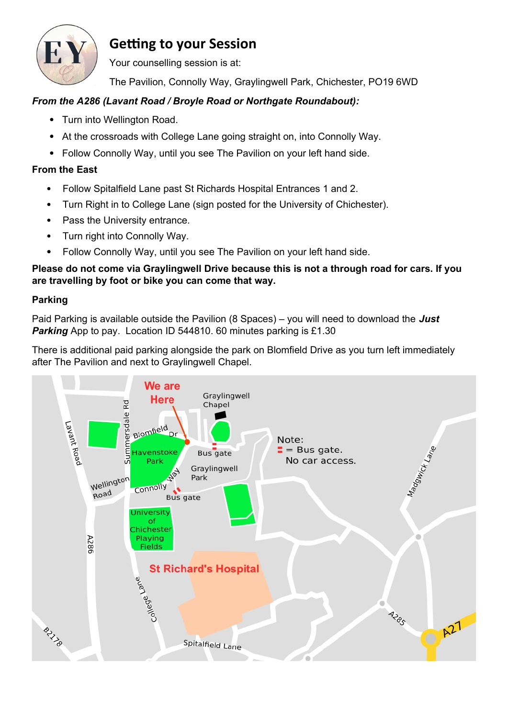

## **Getting to your Session**

Your counselling session is at:

The Pavilion, Connolly Way, Graylingwell Park, Chichester, PO19 6WD

## *From the A286 (Lavant Road / Broyle Road or Northgate Roundabout):*

- Turn into Wellington Road.
- At the crossroads with College Lane going straight on, into Connolly Way.
- Follow Connolly Way, until you see The Pavilion on your left hand side.

## **From the East**

- Follow Spitalfield Lane past St Richards Hospital Entrances 1 and 2.
- Turn Right in to College Lane (sign posted for the University of Chichester).
- Pass the University entrance.
- Turn right into Connolly Way.
- Follow Connolly Way, until you see The Pavilion on your left hand side.

**Please do not come via Graylingwell Drive because this is not a through road for cars. If you are travelling by foot or bike you can come that way.**

## **Parking**

Paid Parking is available outside the Pavilion (8 Spaces) – you will need to download the *Just*  **Parking** App to pay. Location ID 544810. 60 minutes parking is £1.30

There is additional paid parking alongside the park on Blomfield Drive as you turn left immediately after The Pavilion and next to Graylingwell Chapel.